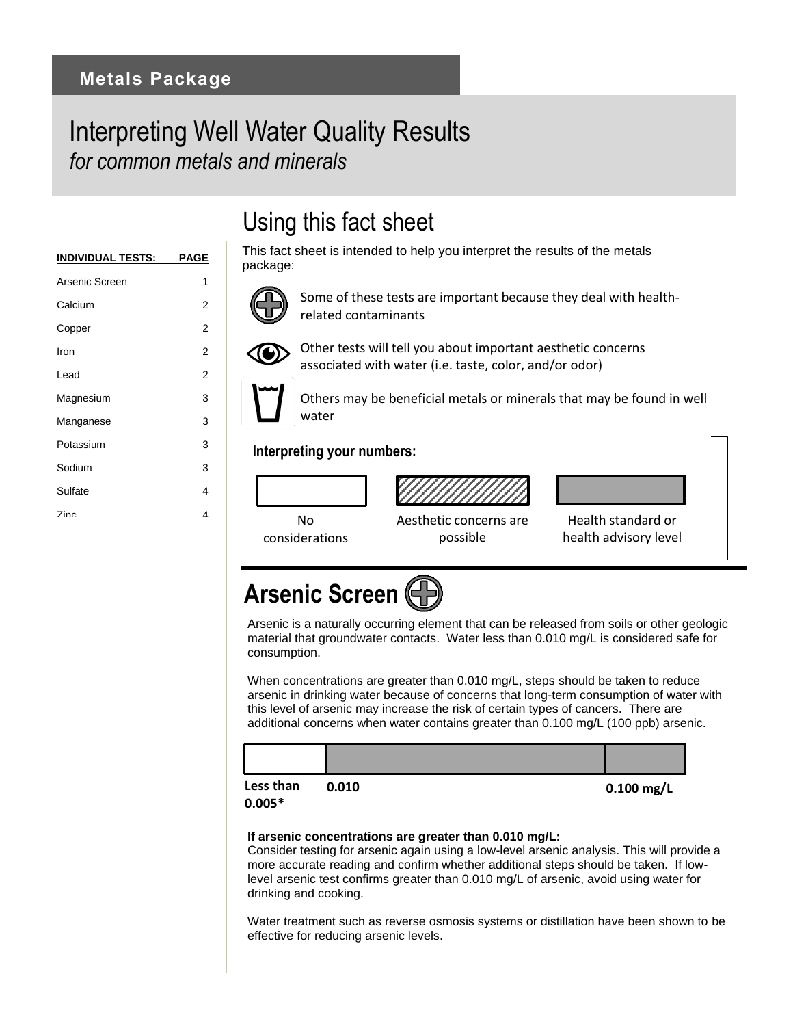## Interpreting Well Water Quality Results *for common metals and minerals*

| <u>INDIVIDUAL TESTS:</u> | PAGE |
|--------------------------|------|
| Arsenic Screen           | 1    |
| Calcium                  | 2    |
| Copper                   | 2    |
| Iron                     | 2    |
| Lead                     | 2    |
| Magnesium                | 3    |
| Manganese                | 3    |
| Potassium                | 3    |
| Sodium                   | 3    |
| Sulfate                  | 4    |
| <b>Zinc</b>              | Δ    |
|                          |      |

## Using this fact sheet

This fact sheet is intended to help you interpret the results of the metals package:



Some of these tests are important because they deal with healthrelated contaminants



Other tests will tell you about important aesthetic concerns associated with water (i.e. taste, color, and/or odor)

Others may be beneficial metals or minerals that may be found in well water

### **Interpreting your numbers:**



Aesthetic concerns are possible



health advisory level

# **Arsenic Screen**

Arsenic is a naturally occurring element that can be released from soils or other geologic material that groundwater contacts. Water less than 0.010 mg/L is considered safe for consumption.

When concentrations are greater than 0.010 mg/L, steps should be taken to reduce arsenic in drinking water because of concerns that long-term consumption of water with this level of arsenic may increase the risk of certain types of cancers. There are additional concerns when water contains greater than 0.100 mg/L (100 ppb) arsenic.



### **If arsenic concentrations are greater than 0.010 mg/L:**

Consider testing for arsenic again using a low-level arsenic analysis. This will provide a more accurate reading and confirm whether additional steps should be taken. If lowlevel arsenic test confirms greater than 0.010 mg/L of arsenic, avoid using water for drinking and cooking.

Water treatment such as reverse osmosis systems or distillation have been shown to be effective for reducing arsenic levels.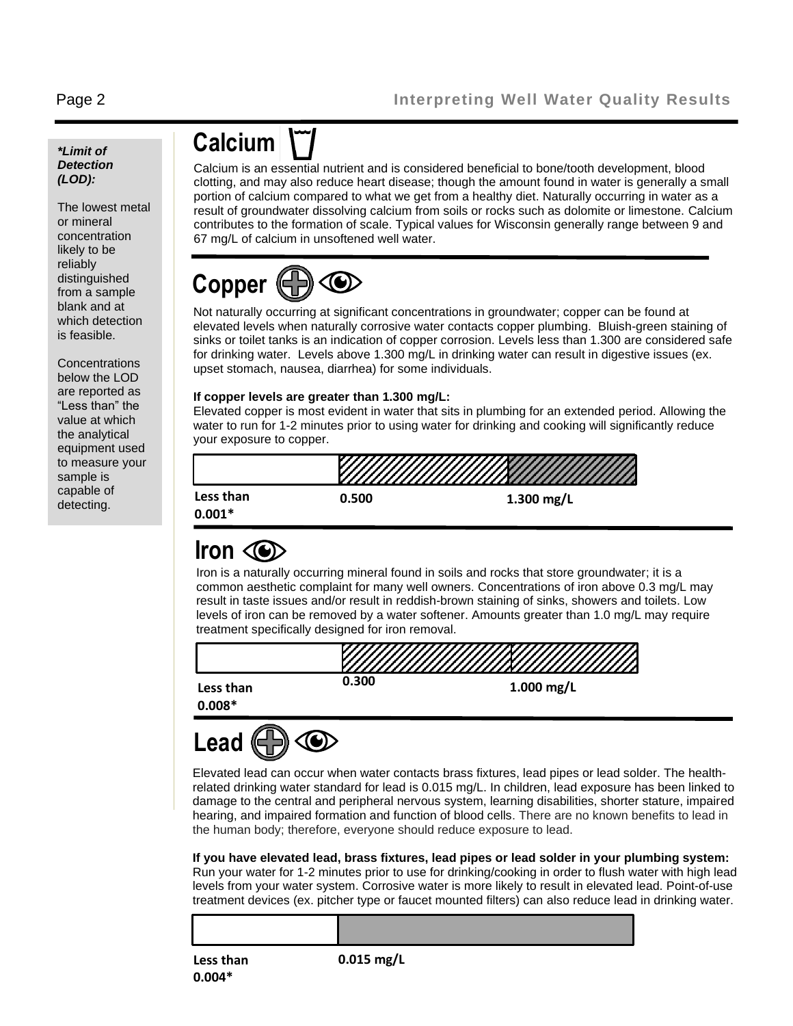### *\*Limit of Detection (LOD):*

The lowest metal or mineral concentration likely to be reliably distinguished from a sample blank and at which detection is feasible.

**Concentrations** below the LOD are reported as "Less than" the value at which the analytical equipment used to measure your sample is capable of detecting.

## **Calcium**

Calcium is an essential nutrient and is considered beneficial to bone/tooth development, blood clotting, and may also reduce heart disease; though the amount found in water is generally a small portion of calcium compared to what we get from a healthy diet. Naturally occurring in water as a result of groundwater dissolving calcium from soils or rocks such as dolomite or limestone. Calcium contributes to the formation of scale. Typical values for Wisconsin generally range between 9 and 67 mg/L of calcium in unsoftened well water.

# **Copper**

Not naturally occurring at significant concentrations in groundwater; copper can be found at elevated levels when naturally corrosive water contacts copper plumbing. Bluish-green staining of sinks or toilet tanks is an indication of copper corrosion. Levels less than 1.300 are considered safe for drinking water. Levels above 1.300 mg/L in drinking water can result in digestive issues (ex. upset stomach, nausea, diarrhea) for some individuals.

### **If copper levels are greater than 1.300 mg/L:**

Elevated copper is most evident in water that sits in plumbing for an extended period. Allowing the water to run for 1-2 minutes prior to using water for drinking and cooking will significantly reduce your exposure to copper.



### **Iron**

Iron is a naturally occurring mineral found in soils and rocks that store groundwater; it is a common aesthetic complaint for many well owners. Concentrations of iron above 0.3 mg/L may result in taste issues and/or result in reddish-brown staining of sinks, showers and toilets. Low levels of iron can be removed by a water softener. Amounts greater than 1.0 mg/L may require treatment specifically designed for iron removal.





Elevated lead can occur when water contacts brass fixtures, lead pipes or lead solder. The healthrelated drinking water standard for lead is 0.015 mg/L. In children, lead exposure has been linked to damage to the central and peripheral nervous system, learning disabilities, shorter stature, impaired hearing, and impaired formation and function of blood cells. There are no known benefits to lead in the human body; therefore, everyone should reduce exposure to lead.

**If you have elevated lead, brass fixtures, lead pipes or lead solder in your plumbing system:** Run your water for 1-2 minutes prior to use for drinking/cooking in order to flush water with high lead levels from your water system. Corrosive water is more likely to result in elevated lead. Point-of-use treatment devices (ex. pitcher type or faucet mounted filters) can also reduce lead in drinking water.

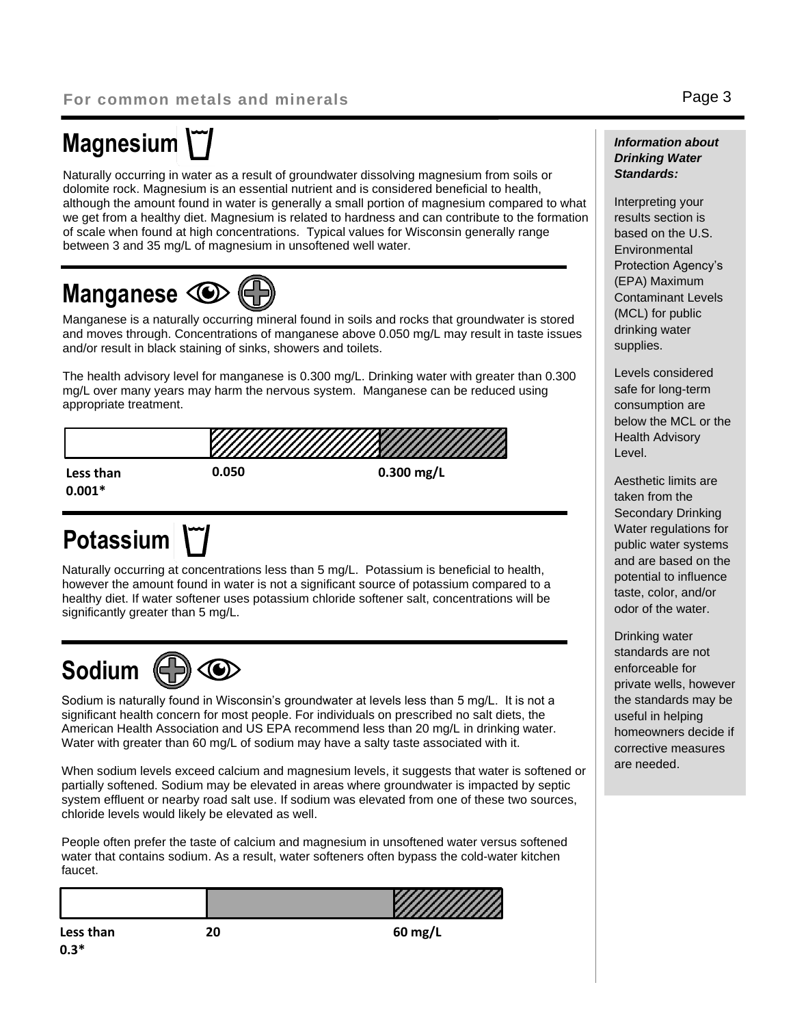# **Magnesium**

Naturally occurring in water as a result of groundwater dissolving magnesium from soils or dolomite rock. Magnesium is an essential nutrient and is considered beneficial to health, although the amount found in water is generally a small portion of magnesium compared to what we get from a healthy diet. Magnesium is related to hardness and can contribute to the formation of scale when found at high concentrations. Typical values for Wisconsin generally range between 3 and 35 mg/L of magnesium in unsoftened well water.

## **Manganese C**

Manganese is a naturally occurring mineral found in soils and rocks that groundwater is stored and moves through. Concentrations of manganese above 0.050 mg/L may result in taste issues and/or result in black staining of sinks, showers and toilets.

The health advisory level for manganese is 0.300 mg/L. Drinking water with greater than 0.300 mg/L over many years may harm the nervous system. Manganese can be reduced using appropriate treatment.



# **Potassium**

Naturally occurring at concentrations less than 5 mg/L. Potassium is beneficial to health, however the amount found in water is not a significant source of potassium compared to a healthy diet. If water softener uses potassium chloride softener salt, concentrations will be significantly greater than 5 mg/L.



Sodium is naturally found in Wisconsin's groundwater at levels less than 5 mg/L. It is not a significant health concern for most people. For individuals on prescribed no salt diets, the American Health Association and US EPA recommend less than 20 mg/L in drinking water. Water with greater than 60 mg/L of sodium may have a salty taste associated with it.

When sodium levels exceed calcium and magnesium levels, it suggests that water is softened or partially softened. Sodium may be elevated in areas where groundwater is impacted by septic system effluent or nearby road salt use. If sodium was elevated from one of these two sources, chloride levels would likely be elevated as well.

People often prefer the taste of calcium and magnesium in unsoftened water versus softened water that contains sodium. As a result, water softeners often bypass the cold-water kitchen faucet.

| faucet. |                                              |
|---------|----------------------------------------------|
|         | <b>The State of State Inc.</b><br>,,,,,,,,,, |

#### **Less than 0.3\***

**20 60 mg/L**

### *Information about Drinking Water Standards:*

Interpreting your results section is based on the U.S. **Environmental** Protection Agency's (EPA) Maximum Contaminant Levels (MCL) for public drinking water supplies.

Levels considered safe for long-term consumption are below the MCL or the Health Advisory Level.

Aesthetic limits are taken from the Secondary Drinking Water regulations for public water systems and are based on the potential to influence taste, color, and/or odor of the water.

Drinking water standards are not enforceable for private wells, however the standards may be useful in helping homeowners decide if corrective measures are needed.